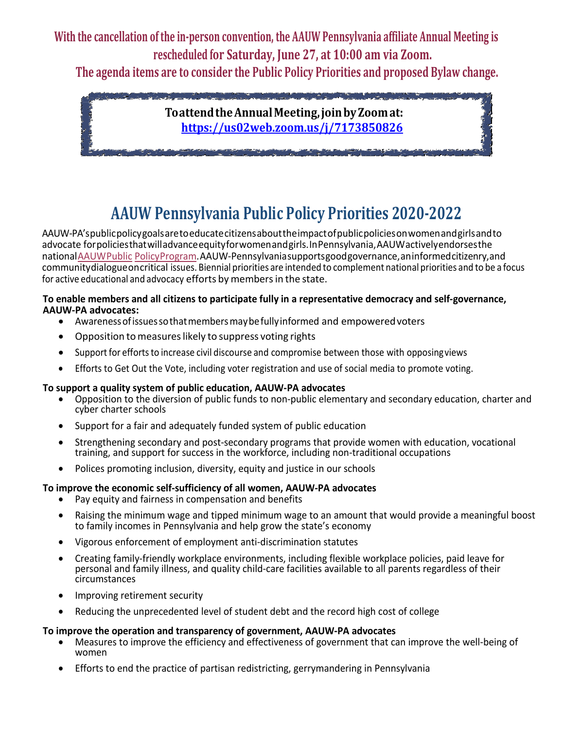**With the cancellation of the in-person convention, the AAUW Pennsylvania affiliate Annual Meeting is rescheduled for Saturday, June 27, at 10:00 am via Zoom.**

**The agenda items are to consider the Public Policy Priorities and proposed Bylaw change.**



# **AAUW Pennsylvania Public Policy Priorities 2020-2022**

AAUW-PA'spublicpolicygoalsaretoeducatecitizensabouttheimpactofpublicpoliciesonwomenandgirlsandto advocate forpoliciesthatwilladvanceequityforwomenandgirls.InPennsylvania,AAUWactivelyendorsesthe nationalAAUWPublic PolicyProgram.AAUW-Pennsylvaniasupportsgoodgovernance,aninformedcitizenry,and communitydialogueoncritical issues. Biennial priorities are intended to complement national priorities and to be a focus for active educational and advocacy efforts by members in the state.

#### **To enable members and all citizens to participate fully in a representative democracy and self-governance, AAUW-PA advocates:**

- Awarenessofissuessothatmembersmaybefullyinformed and empoweredvoters
- Opposition to measures likely to suppress voting rights
- Support for efforts to increase civil discourse and compromise between those with opposing views
- Efforts to Get Out the Vote, including voter registration and use of social media to promote voting.

#### **To support a quality system of public education, AAUW-PA advocates**

- Opposition to the diversion of public funds to non-public elementary and secondary education, charter and cyber charter schools
- Support for a fair and adequately funded system of public education
- Strengthening secondary and post-secondary programs that provide women with education, vocational training, and support for success in the workforce, including non-traditional occupations
- Polices promoting inclusion, diversity, equity and justice in our schools

#### **To improve the economic self-sufficiency of all women, AAUW-PA advocates**

- Pay equity and fairness in compensation and benefits
- Raising the minimum wage and tipped minimum wage to an amount that would provide a meaningful boost to family incomes in Pennsylvania and help grow the state's economy
- Vigorous enforcement of employment anti-discrimination statutes
- Creating family-friendly workplace environments, including flexible workplace policies, paid leave for personal and family illness, and quality child-care facilities available to all parents regardless of their circumstances
- Improving retirement security
- Reducing the unprecedented level of student debt and the record high cost of college

#### **To improve the operation and transparency of government, AAUW-PA advocates**

- Measures to improve the efficiency and effectiveness of government that can improve the well-being of women
- Efforts to end the practice of partisan redistricting, gerrymandering in Pennsylvania